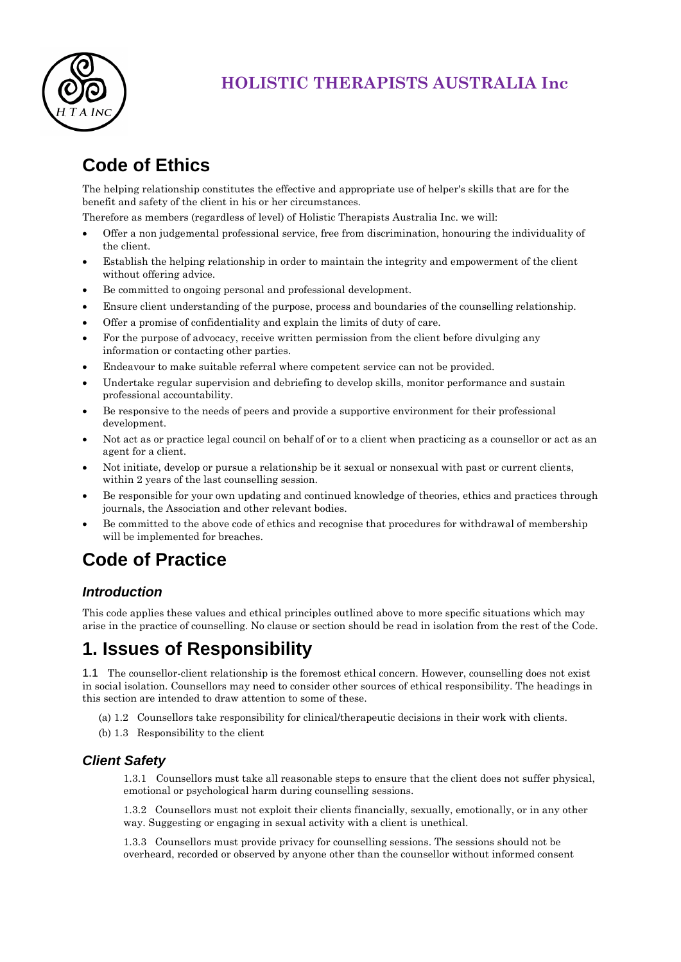

## **HOLISTIC THERAPISTS AUSTRALIA Inc**

# **Code of Ethics**

The helping relationship constitutes the effective and appropriate use of helper's skills that are for the benefit and safety of the client in his or her circumstances.

Therefore as members (regardless of level) of Holistic Therapists Australia Inc. we will:

- Offer a non judgemental professional service, free from discrimination, honouring the individuality of the client.
- Establish the helping relationship in order to maintain the integrity and empowerment of the client without offering advice.
- Be committed to ongoing personal and professional development.
- Ensure client understanding of the purpose, process and boundaries of the counselling relationship.
- Offer a promise of confidentiality and explain the limits of duty of care.
- For the purpose of advocacy, receive written permission from the client before divulging any information or contacting other parties.
- Endeavour to make suitable referral where competent service can not be provided.
- Undertake regular supervision and debriefing to develop skills, monitor performance and sustain professional accountability.
- Be responsive to the needs of peers and provide a supportive environment for their professional development.
- Not act as or practice legal council on behalf of or to a client when practicing as a counsellor or act as an agent for a client.
- Not initiate, develop or pursue a relationship be it sexual or nonsexual with past or current clients, within 2 years of the last counselling session.
- Be responsible for your own updating and continued knowledge of theories, ethics and practices through journals, the Association and other relevant bodies.
- Be committed to the above code of ethics and recognise that procedures for withdrawal of membership will be implemented for breaches.

# **Code of Practice**

### *Introduction*

This code applies these values and ethical principles outlined above to more specific situations which may arise in the practice of counselling. No clause or section should be read in isolation from the rest of the Code.

## **1. Issues of Responsibility**

1.1 The counsellor-client relationship is the foremost ethical concern. However, counselling does not exist in social isolation. Counsellors may need to consider other sources of ethical responsibility. The headings in this section are intended to draw attention to some of these.

(a) 1.2 Counsellors take responsibility for clinical/therapeutic decisions in their work with clients.

(b) 1.3 Responsibility to the client

#### *Client Safety*

1.3.1 Counsellors must take all reasonable steps to ensure that the client does not suffer physical, emotional or psychological harm during counselling sessions.

1.3.2 Counsellors must not exploit their clients financially, sexually, emotionally, or in any other way. Suggesting or engaging in sexual activity with a client is unethical.

1.3.3 Counsellors must provide privacy for counselling sessions. The sessions should not be overheard, recorded or observed by anyone other than the counsellor without informed consent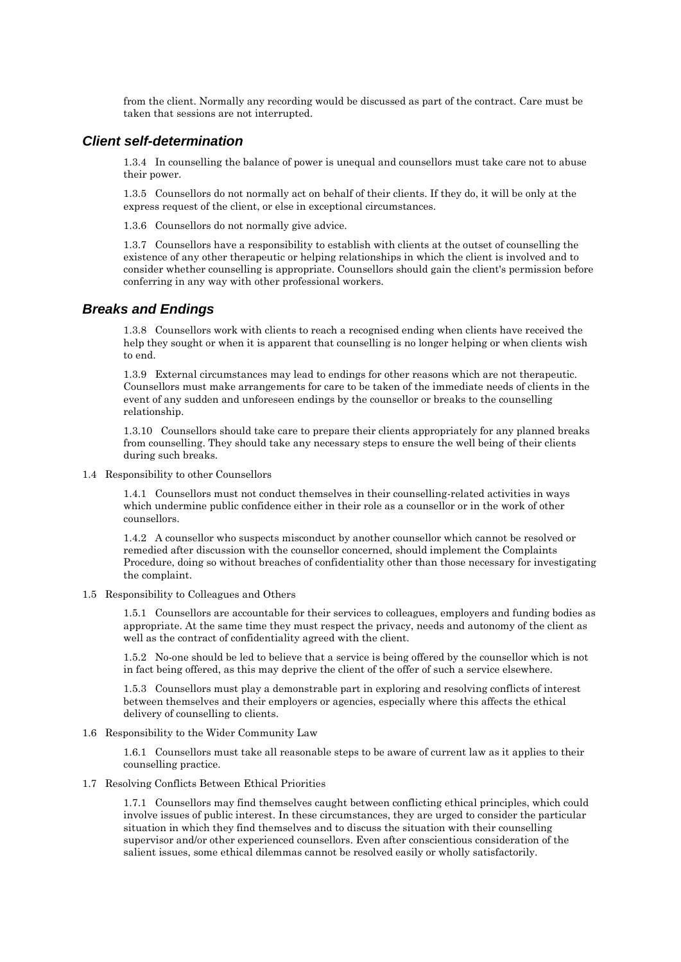from the client. Normally any recording would be discussed as part of the contract. Care must be taken that sessions are not interrupted.

#### *Client self-determination*

1.3.4 In counselling the balance of power is unequal and counsellors must take care not to abuse their power.

1.3.5 Counsellors do not normally act on behalf of their clients. If they do, it will be only at the express request of the client, or else in exceptional circumstances.

1.3.6 Counsellors do not normally give advice.

1.3.7 Counsellors have a responsibility to establish with clients at the outset of counselling the existence of any other therapeutic or helping relationships in which the client is involved and to consider whether counselling is appropriate. Counsellors should gain the client's permission before conferring in any way with other professional workers.

#### *Breaks and Endings*

1.3.8 Counsellors work with clients to reach a recognised ending when clients have received the help they sought or when it is apparent that counselling is no longer helping or when clients wish to end.

1.3.9 External circumstances may lead to endings for other reasons which are not therapeutic. Counsellors must make arrangements for care to be taken of the immediate needs of clients in the event of any sudden and unforeseen endings by the counsellor or breaks to the counselling relationship.

1.3.10 Counsellors should take care to prepare their clients appropriately for any planned breaks from counselling. They should take any necessary steps to ensure the well being of their clients during such breaks.

1.4 Responsibility to other Counsellors

1.4.1 Counsellors must not conduct themselves in their counselling-related activities in ways which undermine public confidence either in their role as a counsellor or in the work of other counsellors.

1.4.2 A counsellor who suspects misconduct by another counsellor which cannot be resolved or remedied after discussion with the counsellor concerned, should implement the Complaints Procedure, doing so without breaches of confidentiality other than those necessary for investigating the complaint.

1.5 Responsibility to Colleagues and Others

1.5.1 Counsellors are accountable for their services to colleagues, employers and funding bodies as appropriate. At the same time they must respect the privacy, needs and autonomy of the client as well as the contract of confidentiality agreed with the client.

1.5.2 No-one should be led to believe that a service is being offered by the counsellor which is not in fact being offered, as this may deprive the client of the offer of such a service elsewhere.

1.5.3 Counsellors must play a demonstrable part in exploring and resolving conflicts of interest between themselves and their employers or agencies, especially where this affects the ethical delivery of counselling to clients.

1.6 Responsibility to the Wider Community Law

1.6.1 Counsellors must take all reasonable steps to be aware of current law as it applies to their counselling practice.

#### 1.7 Resolving Conflicts Between Ethical Priorities

1.7.1 Counsellors may find themselves caught between conflicting ethical principles, which could involve issues of public interest. In these circumstances, they are urged to consider the particular situation in which they find themselves and to discuss the situation with their counselling supervisor and/or other experienced counsellors. Even after conscientious consideration of the salient issues, some ethical dilemmas cannot be resolved easily or wholly satisfactorily.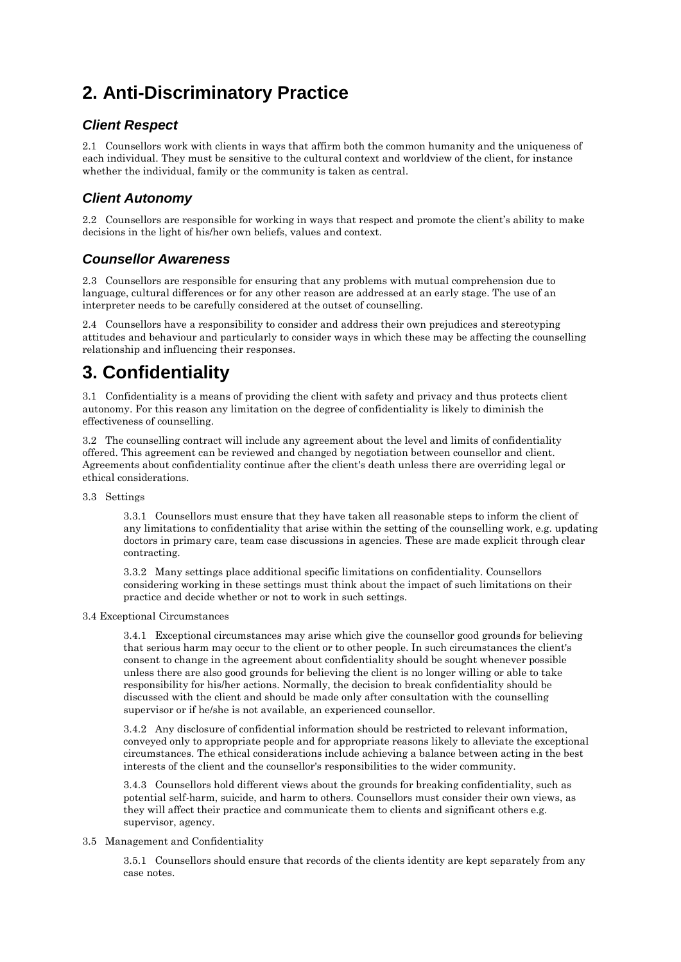# **2. Anti-Discriminatory Practice**

### *Client Respect*

2.1 Counsellors work with clients in ways that affirm both the common humanity and the uniqueness of each individual. They must be sensitive to the cultural context and worldview of the client, for instance whether the individual, family or the community is taken as central.

### *Client Autonomy*

2.2 Counsellors are responsible for working in ways that respect and promote the client's ability to make decisions in the light of his/her own beliefs, values and context.

### *Counsellor Awareness*

2.3 Counsellors are responsible for ensuring that any problems with mutual comprehension due to language, cultural differences or for any other reason are addressed at an early stage. The use of an interpreter needs to be carefully considered at the outset of counselling.

2.4 Counsellors have a responsibility to consider and address their own prejudices and stereotyping attitudes and behaviour and particularly to consider ways in which these may be affecting the counselling relationship and influencing their responses.

## **3. Confidentiality**

3.1 Confidentiality is a means of providing the client with safety and privacy and thus protects client autonomy. For this reason any limitation on the degree of confidentiality is likely to diminish the effectiveness of counselling.

3.2 The counselling contract will include any agreement about the level and limits of confidentiality offered. This agreement can be reviewed and changed by negotiation between counsellor and client. Agreements about confidentiality continue after the client's death unless there are overriding legal or ethical considerations.

3.3 Settings

3.3.1 Counsellors must ensure that they have taken all reasonable steps to inform the client of any limitations to confidentiality that arise within the setting of the counselling work, e.g. updating doctors in primary care, team case discussions in agencies. These are made explicit through clear contracting.

3.3.2 Many settings place additional specific limitations on confidentiality. Counsellors considering working in these settings must think about the impact of such limitations on their practice and decide whether or not to work in such settings.

#### 3.4 Exceptional Circumstances

3.4.1 Exceptional circumstances may arise which give the counsellor good grounds for believing that serious harm may occur to the client or to other people. In such circumstances the client's consent to change in the agreement about confidentiality should be sought whenever possible unless there are also good grounds for believing the client is no longer willing or able to take responsibility for his/her actions. Normally, the decision to break confidentiality should be discussed with the client and should be made only after consultation with the counselling supervisor or if he/she is not available, an experienced counsellor.

3.4.2 Any disclosure of confidential information should be restricted to relevant information, conveyed only to appropriate people and for appropriate reasons likely to alleviate the exceptional circumstances. The ethical considerations include achieving a balance between acting in the best interests of the client and the counsellor's responsibilities to the wider community.

3.4.3 Counsellors hold different views about the grounds for breaking confidentiality, such as potential self-harm, suicide, and harm to others. Counsellors must consider their own views, as they will affect their practice and communicate them to clients and significant others e.g. supervisor, agency.

#### 3.5 Management and Confidentiality

3.5.1 Counsellors should ensure that records of the clients identity are kept separately from any case notes.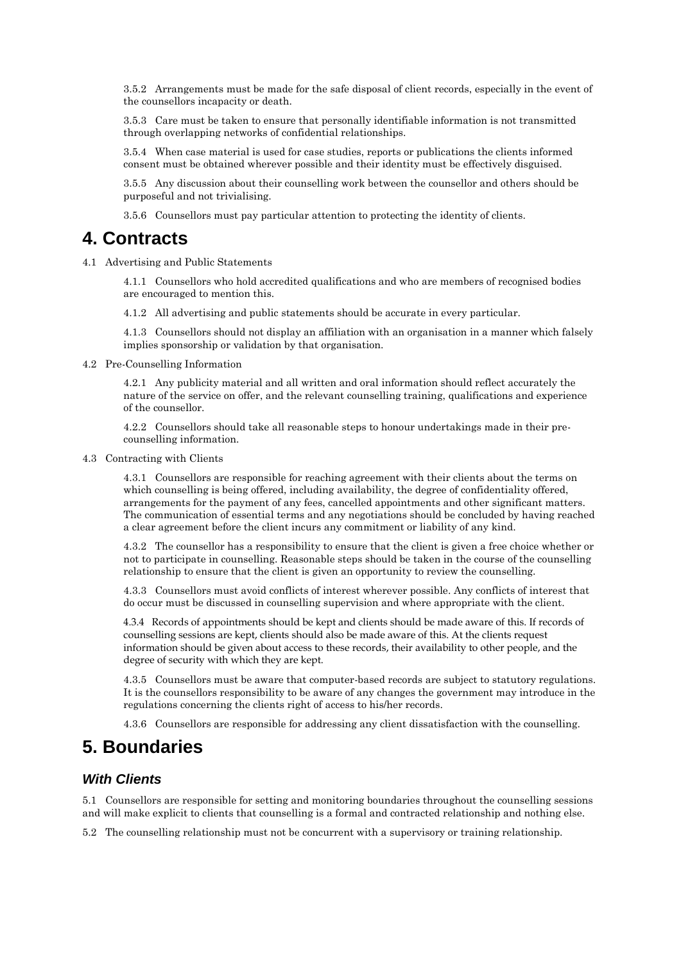3.5.2 Arrangements must be made for the safe disposal of client records, especially in the event of the counsellors incapacity or death.

3.5.3 Care must be taken to ensure that personally identifiable information is not transmitted through overlapping networks of confidential relationships.

3.5.4 When case material is used for case studies, reports or publications the clients informed consent must be obtained wherever possible and their identity must be effectively disguised.

3.5.5 Any discussion about their counselling work between the counsellor and others should be purposeful and not trivialising.

3.5.6 Counsellors must pay particular attention to protecting the identity of clients.

### **4. Contracts**

4.1 Advertising and Public Statements

4.1.1 Counsellors who hold accredited qualifications and who are members of recognised bodies are encouraged to mention this.

4.1.2 All advertising and public statements should be accurate in every particular.

4.1.3 Counsellors should not display an affiliation with an organisation in a manner which falsely implies sponsorship or validation by that organisation.

4.2 Pre-Counselling Information

4.2.1 Any publicity material and all written and oral information should reflect accurately the nature of the service on offer, and the relevant counselling training, qualifications and experience of the counsellor.

4.2.2 Counsellors should take all reasonable steps to honour undertakings made in their precounselling information.

4.3 Contracting with Clients

4.3.1 Counsellors are responsible for reaching agreement with their clients about the terms on which counselling is being offered, including availability, the degree of confidentiality offered, arrangements for the payment of any fees, cancelled appointments and other significant matters. The communication of essential terms and any negotiations should be concluded by having reached a clear agreement before the client incurs any commitment or liability of any kind.

4.3.2 The counsellor has a responsibility to ensure that the client is given a free choice whether or not to participate in counselling. Reasonable steps should be taken in the course of the counselling relationship to ensure that the client is given an opportunity to review the counselling.

4.3.3 Counsellors must avoid conflicts of interest wherever possible. Any conflicts of interest that do occur must be discussed in counselling supervision and where appropriate with the client.

4.3.4 Records of appointments should be kept and clients should be made aware of this. If records of counselling sessions are kept, clients should also be made aware of this. At the clients request information should be given about access to these records, their availability to other people, and the degree of security with which they are kept.

4.3.5 Counsellors must be aware that computer-based records are subject to statutory regulations. It is the counsellors responsibility to be aware of any changes the government may introduce in the regulations concerning the clients right of access to his/her records.

4.3.6 Counsellors are responsible for addressing any client dissatisfaction with the counselling.

## **5. Boundaries**

#### *With Clients*

5.1 Counsellors are responsible for setting and monitoring boundaries throughout the counselling sessions and will make explicit to clients that counselling is a formal and contracted relationship and nothing else.

5.2 The counselling relationship must not be concurrent with a supervisory or training relationship.